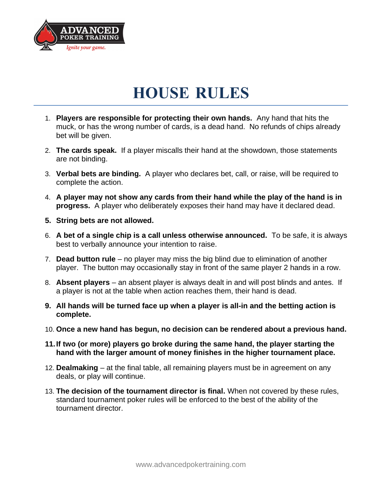

## **HOUSE RULES**

- 1. **Players are responsible for protecting their own hands.** Any hand that hits the muck, or has the wrong number of cards, is a dead hand. No refunds of chips already bet will be given.
- 2. **The cards speak.** If a player miscalls their hand at the showdown, those statements are not binding.
- 3. **Verbal bets are binding.** A player who declares bet, call, or raise, will be required to complete the action.
- 4. **A player may not show any cards from their hand while the play of the hand is in progress.** A player who deliberately exposes their hand may have it declared dead.
- **5. String bets are not allowed.**
- 6. **A bet of a single chip is a call unless otherwise announced.** To be safe, it is always best to verbally announce your intention to raise.
- 7. **Dead button rule**  no player may miss the big blind due to elimination of another player. The button may occasionally stay in front of the same player 2 hands in a row.
- 8. **Absent players**  an absent player is always dealt in and will post blinds and antes. If a player is not at the table when action reaches them, their hand is dead.
- **9. All hands will be turned face up when a player is all-in and the betting action is complete.**
- 10. **Once a new hand has begun, no decision can be rendered about a previous hand.**
- **11.If two (or more) players go broke during the same hand, the player starting the hand with the larger amount of money finishes in the higher tournament place.**
- 12. **Dealmaking** at the final table, all remaining players must be in agreement on any deals, or play will continue.
- 13. **The decision of the tournament director is final.** When not covered by these rules, standard tournament poker rules will be enforced to the best of the ability of the tournament director.